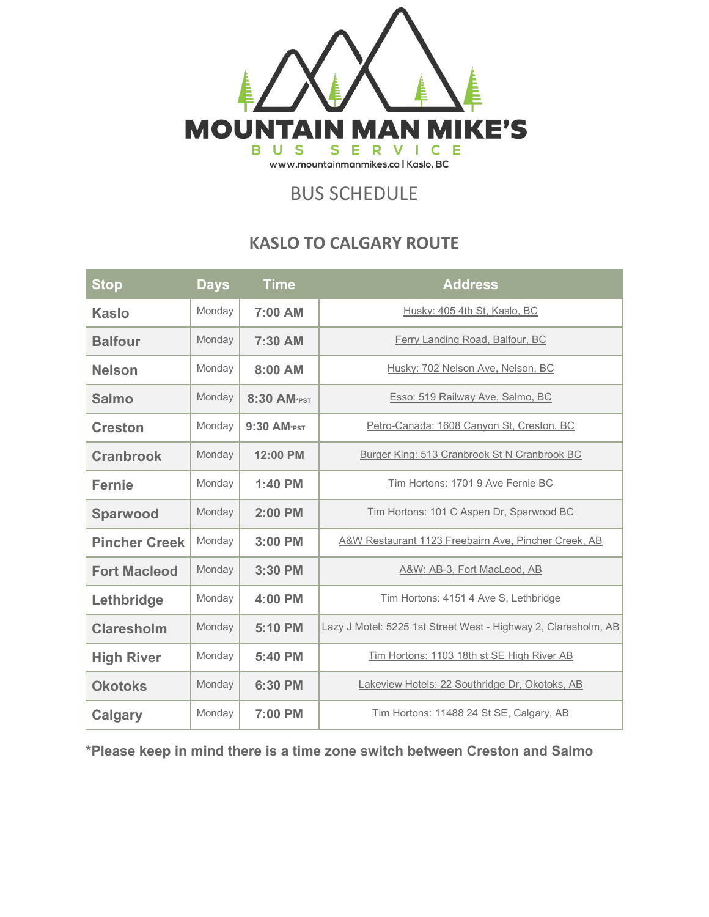

## BUS SCHEDULE

## **KASLO TO CALGARY ROUTE**

| <b>Stop</b>          | <b>Days</b> | <b>Time</b> | <b>Address</b>                                                 |
|----------------------|-------------|-------------|----------------------------------------------------------------|
| <b>Kaslo</b>         | Monday      | 7:00 AM     | Husky: 405 4th St, Kaslo, BC                                   |
| <b>Balfour</b>       | Monday      | 7:30 AM     | Ferry Landing Road, Balfour, BC                                |
| <b>Nelson</b>        | Monday      | 8:00 AM     | Husky: 702 Nelson Ave, Nelson, BC                              |
| <b>Salmo</b>         | Monday      | 8:30 AM*PST | Esso: 519 Railway Ave, Salmo, BC                               |
| <b>Creston</b>       | Monday      | 9:30 AM*PST | Petro-Canada: 1608 Canyon St, Creston, BC                      |
| <b>Cranbrook</b>     | Monday      | 12:00 PM    | Burger King: 513 Cranbrook St N Cranbrook BC                   |
| <b>Fernie</b>        | Monday      | 1:40 PM     | Tim Hortons: 1701 9 Ave Fernie BC                              |
| <b>Sparwood</b>      | Monday      | $2:00$ PM   | Tim Hortons: 101 C Aspen Dr, Sparwood BC                       |
| <b>Pincher Creek</b> | Monday      | 3:00 PM     | A&W Restaurant 1123 Freebairn Ave, Pincher Creek, AB           |
| <b>Fort Macleod</b>  | Monday      | 3:30 PM     | A&W: AB-3, Fort MacLeod, AB                                    |
| Lethbridge           | Monday      | 4:00 PM     | Tim Hortons: 4151 4 Ave S, Lethbridge                          |
| <b>Claresholm</b>    | Monday      | 5:10 PM     | Lazy J Motel: 5225 1st Street West - Highway 2, Claresholm, AB |
| <b>High River</b>    | Monday      | 5:40 PM     | Tim Hortons: 1103 18th st SE High River AB                     |
| <b>Okotoks</b>       | Monday      | 6:30 PM     | Lakeview Hotels: 22 Southridge Dr, Okotoks, AB                 |
| Calgary              | Monday      | 7:00 PM     | Tim Hortons: 11488 24 St SE, Calgary, AB                       |

**\*Please keep in mind there is a time zone switch between Creston and Salmo**